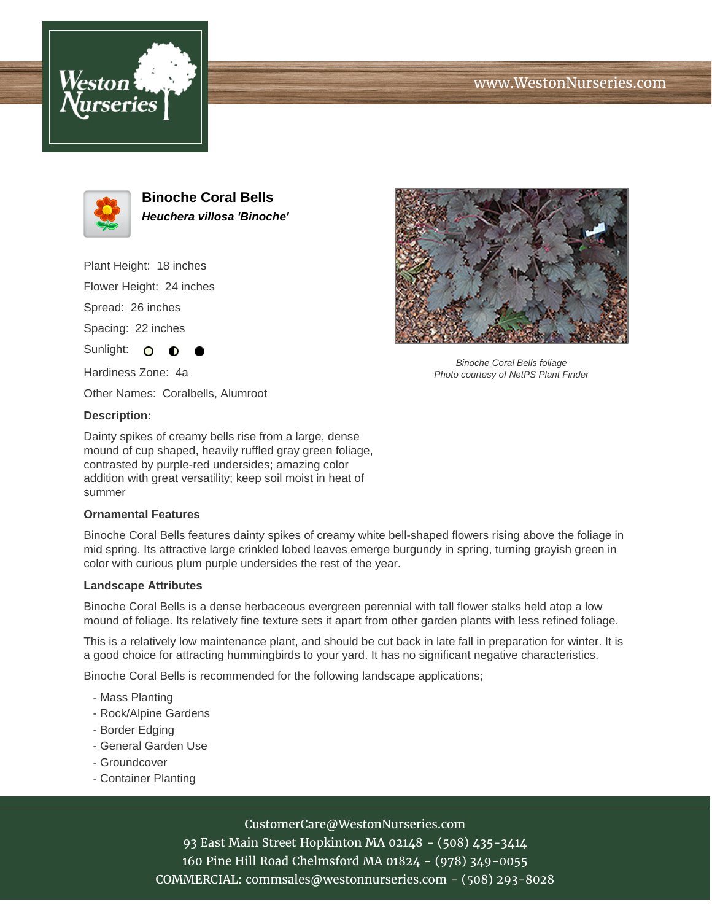





**Binoche Coral Bells Heuchera villosa 'Binoche'**

Plant Height: 18 inches Flower Height: 24 inches Spread: 26 inches

Spacing: 22 inches

Sunlight: O

Hardiness Zone: 4a

Other Names: Coralbells, Alumroot

### **Description:**

Dainty spikes of creamy bells rise from a large, dense mound of cup shaped, heavily ruffled gray green foliage, contrasted by purple-red undersides; amazing color addition with great versatility; keep soil moist in heat of summer

#### **Ornamental Features**

Binoche Coral Bells features dainty spikes of creamy white bell-shaped flowers rising above the foliage in mid spring. Its attractive large crinkled lobed leaves emerge burgundy in spring, turning grayish green in color with curious plum purple undersides the rest of the year.

#### **Landscape Attributes**

Binoche Coral Bells is a dense herbaceous evergreen perennial with tall flower stalks held atop a low mound of foliage. Its relatively fine texture sets it apart from other garden plants with less refined foliage.

This is a relatively low maintenance plant, and should be cut back in late fall in preparation for winter. It is a good choice for attracting hummingbirds to your yard. It has no significant negative characteristics.

Binoche Coral Bells is recommended for the following landscape applications;

- Mass Planting
- Rock/Alpine Gardens
- Border Edging
- General Garden Use
- Groundcover
- Container Planting



Binoche Coral Bells foliage Photo courtesy of NetPS Plant Finder

# CustomerCare@WestonNurseries.com

93 East Main Street Hopkinton MA 02148 - (508) 435-3414 160 Pine Hill Road Chelmsford MA 01824 - (978) 349-0055 COMMERCIAL: commsales@westonnurseries.com - (508) 293-8028